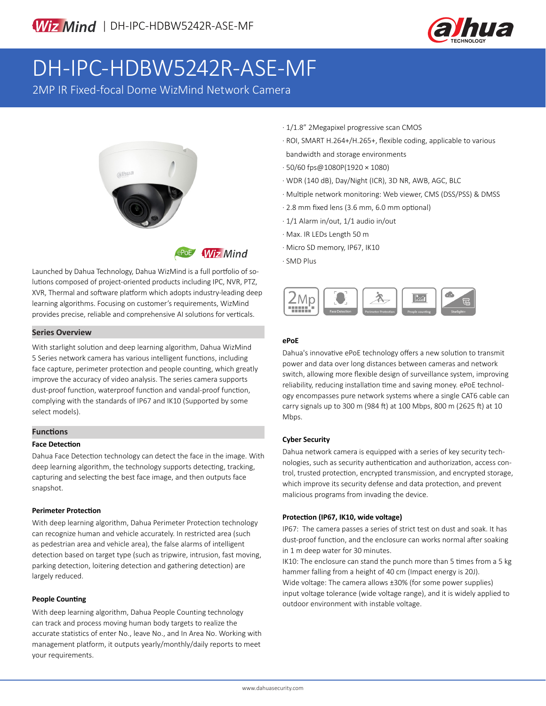

# DH-IPC-HDBW5242R-ASE-MF

2MP IR Fixed-focal Dome WizMind Network Camera





Launched by Dahua Technology, Dahua WizMind is a full portfolio of solutions composed of project-oriented products including IPC, NVR, PTZ, XVR, Thermal and software platform which adopts industry-leading deep learning algorithms. Focusing on customer's requirements, WizMind provides precise, reliable and comprehensive AI solutions for verticals.

#### **Series Overview**

With starlight solution and deep learning algorithm, Dahua WizMind 5 Series network camera has various intelligent functions, including face capture, perimeter protection and people counting, which greatly improve the accuracy of video analysis. The series camera supports dust-proof function, waterproof function and vandal-proof function, complying with the standards of IP67 and IK10 (Supported by some select models).

#### **Functions**

#### **Face Detection**

Dahua Face Detection technology can detect the face in the image. With deep learning algorithm, the technology supports detecting, tracking, capturing and selecting the best face image, and then outputs face snapshot.

#### **Perimeter Protection**

With deep learning algorithm, Dahua Perimeter Protection technology can recognize human and vehicle accurately. In restricted area (such as pedestrian area and vehicle area), the false alarms of intelligent detection based on target type (such as tripwire, intrusion, fast moving, parking detection, loitering detection and gathering detection) are largely reduced.

#### **People Counting**

With deep learning algorithm, Dahua People Counting technology can track and process moving human body targets to realize the accurate statistics of enter No., leave No., and In Area No. Working with management platform, it outputs yearly/monthly/daily reports to meet your requirements.

- · 1/1.8" 2Megapixel progressive scan CMOS
- · ROI, SMART H.264+/H.265+, flexible coding, applicable to various bandwidth and storage environments
- · 50/60 fps@1080P(1920 × 1080)
- · WDR (140 dB), Day/Night (ICR), 3D NR, AWB, AGC, BLC
- · Multiple network monitoring: Web viewer, CMS (DSS/PSS) & DMSS
- · 2.8 mm fixed lens (3.6 mm, 6.0 mm optional)
- · 1/1 Alarm in/out, 1/1 audio in/out
- · Max. IR LEDs Length 50 m
- · Micro SD memory, IP67, IK10
- · SMD Plus



#### **ePoE**

Dahua's innovative ePoE technology offers a new solution to transmit power and data over long distances between cameras and network switch, allowing more flexible design of surveillance system, improving reliability, reducing installation time and saving money. ePoE technology encompasses pure network systems where a single CAT6 cable can carry signals up to 300 m (984 ft) at 100 Mbps, 800 m (2625 ft) at 10 Mbps.

#### **Cyber Security**

Dahua network camera is equipped with a series of key security technologies, such as security authentication and authorization, access control, trusted protection, encrypted transmission, and encrypted storage, which improve its security defense and data protection, and prevent malicious programs from invading the device.

#### **Protection (IP67, IK10, wide voltage)**

IP67: The camera passes a series of strict test on dust and soak. It has dust-proof function, and the enclosure can works normal after soaking in 1 m deep water for 30 minutes.

IK10: The enclosure can stand the punch more than 5 times from a 5 kg hammer falling from a height of 40 cm (Impact energy is 20J). Wide voltage: The camera allows ±30% (for some power supplies) input voltage tolerance (wide voltage range), and it is widely applied to outdoor environment with instable voltage.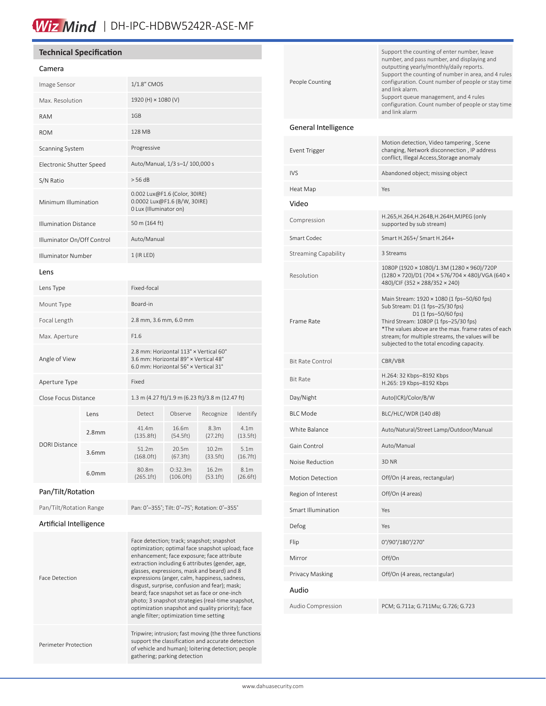## Wiz Mind | DH-IPC-HDBW5242R-ASE-MF

### **Technical Specification**

#### Camera

| Image Sensor                 |                   | 1/1.8" CMOS                                                                                                              |                      |                   |                              |
|------------------------------|-------------------|--------------------------------------------------------------------------------------------------------------------------|----------------------|-------------------|------------------------------|
| Max. Resolution              |                   | 1920 (H) × 1080 (V)                                                                                                      |                      |                   |                              |
| <b>RAM</b>                   |                   | 1GB                                                                                                                      |                      |                   |                              |
| <b>ROM</b>                   |                   | 128 MB                                                                                                                   |                      |                   |                              |
| Scanning System              |                   | Progressive                                                                                                              |                      |                   |                              |
| Electronic Shutter Speed     |                   | Auto/Manual, 1/3 s-1/ 100,000 s                                                                                          |                      |                   |                              |
| S/N Ratio                    |                   | > 56 dB                                                                                                                  |                      |                   |                              |
| Minimum Illumination         |                   | 0.002 Lux@F1.6 (Color, 30IRE)<br>0.0002 Lux@F1.6 (B/W, 30IRE)<br>0 Lux (Illuminator on)                                  |                      |                   |                              |
| <b>Illumination Distance</b> |                   | 50 m (164 ft)                                                                                                            |                      |                   |                              |
| Illuminator On/Off Control   |                   | Auto/Manual                                                                                                              |                      |                   |                              |
| <b>Illuminator Number</b>    |                   | $1$ (IR LED)                                                                                                             |                      |                   |                              |
| Lens                         |                   |                                                                                                                          |                      |                   |                              |
| Lens Type                    |                   | Fixed-focal                                                                                                              |                      |                   |                              |
| Mount Type                   |                   | Board-in                                                                                                                 |                      |                   |                              |
| Focal Length                 |                   | 2.8 mm, 3.6 mm, 6.0 mm                                                                                                   |                      |                   |                              |
| Max. Aperture                |                   | F1.6                                                                                                                     |                      |                   |                              |
| Angle of View                |                   | 2.8 mm: Horizontal 113° × Vertical 60°<br>3.6 mm: Horizontal 89° x Vertical 48°<br>6.0 mm: Horizontal 56° x Vertical 31° |                      |                   |                              |
| Aperture Type                |                   | Fixed                                                                                                                    |                      |                   |                              |
| Close Focus Distance         |                   | 1.3 m (4.27 ft)/1.9 m (6.23 ft)/3.8 m (12.47 ft)                                                                         |                      |                   |                              |
|                              | Lens              | Detect                                                                                                                   | Observe              | Recognize         | Identify                     |
| <b>DORI Distance</b>         | 2.8 <sub>mm</sub> | 41.4m<br>(135.8ft)                                                                                                       | 16.6m<br>(54.5ft)    | 8.3m<br>(27.2 ft) | 4.1 <sub>m</sub><br>(13.5ft) |
|                              | 3.6 <sub>mm</sub> | 51.2m<br>(168.0 ft)                                                                                                      | 20.5m<br>(67.3 ft)   | 10.2m<br>(33.5ft) | 5.1 <sub>m</sub><br>(16.7ft) |
|                              | 6.0 <sub>mm</sub> | 80.8m<br>(265.1ft)                                                                                                       | O:32.3m<br>(106.0ft) | 16.2m<br>(53.1ft) | 8.1 <sub>m</sub><br>(26.6ft) |
| Dan/Tilt/Rotation            |                   |                                                                                                                          |                      |                   |                              |

#### Pan/Tilt/Rotation

Pan/Tilt/Rotation Range Pan: 0°-355°; Tilt: 0°-75°; Rotation: 0°-355°

### Artificial Intelligence

| <b>Face Detection</b> | Face detection; track; snapshot; snapshot<br>optimization; optimal face snapshot upload; face<br>enhancement; face exposure; face attribute<br>extraction including 6 attributes (gender, age,<br>glasses, expressions, mask and beard) and 8<br>expressions (anger, calm, happiness, sadness,<br>disgust, surprise, confusion and fear); mask;<br>beard; face snapshot set as face or one-inch<br>photo; 3 snapshot strategies (real-time snapshot,<br>optimization snapshot and quality priority); face<br>angle filter; optimization time setting |
|-----------------------|------------------------------------------------------------------------------------------------------------------------------------------------------------------------------------------------------------------------------------------------------------------------------------------------------------------------------------------------------------------------------------------------------------------------------------------------------------------------------------------------------------------------------------------------------|
| Perimeter Protection  | Tripwire; intrusion; fast moving (the three functions<br>support the classification and accurate detection<br>of vehicle and human); loitering detection; people<br>gathering; parking detection                                                                                                                                                                                                                                                                                                                                                     |

| People Counting             | Support the counting of enter number, leave<br>number, and pass number, and displaying and<br>outputting yearly/monthly/daily reports.<br>Support the counting of number in area, and 4 rules<br>configuration. Count number of people or stay time<br>and link alarm.<br>Support queue management, and 4 rules<br>configuration. Count number of people or stay time<br>and link alarm |
|-----------------------------|-----------------------------------------------------------------------------------------------------------------------------------------------------------------------------------------------------------------------------------------------------------------------------------------------------------------------------------------------------------------------------------------|
| General Intelligence        |                                                                                                                                                                                                                                                                                                                                                                                         |
| Event Trigger               | Motion detection, Video tampering, Scene<br>changing, Network disconnection, IP address<br>conflict, Illegal Access, Storage anomaly                                                                                                                                                                                                                                                    |
| IVS                         | Abandoned object; missing object                                                                                                                                                                                                                                                                                                                                                        |
| Heat Map                    | Yes                                                                                                                                                                                                                                                                                                                                                                                     |
| Video                       |                                                                                                                                                                                                                                                                                                                                                                                         |
| Compression                 | H.265, H.264, H.264B, H.264H, MJPEG (only<br>supported by sub stream)                                                                                                                                                                                                                                                                                                                   |
| Smart Codec                 | Smart H.265+/ Smart H.264+                                                                                                                                                                                                                                                                                                                                                              |
| <b>Streaming Capability</b> | 3 Streams                                                                                                                                                                                                                                                                                                                                                                               |
| Resolution                  | 1080P (1920 × 1080)/1.3M (1280 × 960)/720P<br>(1280 × 720)/D1 (704 × 576/704 × 480)/VGA (640 ×<br>480)/CIF (352 × 288/352 × 240)                                                                                                                                                                                                                                                        |
| Frame Rate                  | Main Stream: 1920 × 1080 (1 fps-50/60 fps)<br>Sub Stream: D1 (1 fps-25/30 fps)<br>D1 (1 fps-50/60 fps)<br>Third Stream: 1080P (1 fps-25/30 fps)<br>*The values above are the max. frame rates of each<br>stream; for multiple streams, the values will be<br>subjected to the total encoding capacity.                                                                                  |
| <b>Bit Rate Control</b>     | CBR/VBR                                                                                                                                                                                                                                                                                                                                                                                 |
| <b>Bit Rate</b>             | H.264: 32 Kbps-8192 Kbps<br>H.265: 19 Kbps-8192 Kbps                                                                                                                                                                                                                                                                                                                                    |
| Day/Night                   | Auto(ICR)/Color/B/W                                                                                                                                                                                                                                                                                                                                                                     |
| <b>BLC Mode</b>             | BLC/HLC/WDR (140 dB)                                                                                                                                                                                                                                                                                                                                                                    |
| White Balance               | Auto/Natural/Street Lamp/Outdoor/Manual                                                                                                                                                                                                                                                                                                                                                 |
| Gain Control                | Auto/Manual                                                                                                                                                                                                                                                                                                                                                                             |
| Noise Reduction             | 3D <sub>NR</sub>                                                                                                                                                                                                                                                                                                                                                                        |
| <b>Motion Detection</b>     | Off/On (4 areas, rectangular)                                                                                                                                                                                                                                                                                                                                                           |
| Region of Interest          | Off/On (4 areas)                                                                                                                                                                                                                                                                                                                                                                        |
| Smart Illumination          | Yes                                                                                                                                                                                                                                                                                                                                                                                     |
| Defog                       | Yes                                                                                                                                                                                                                                                                                                                                                                                     |
| Flip                        | 0°/90°/180°/270°                                                                                                                                                                                                                                                                                                                                                                        |
| Mirror                      | Off/On                                                                                                                                                                                                                                                                                                                                                                                  |
| Privacy Masking             | Off/On (4 areas, rectangular)                                                                                                                                                                                                                                                                                                                                                           |
| Audio                       |                                                                                                                                                                                                                                                                                                                                                                                         |
| Audio Compression           | PCM; G.711a; G.711Mu; G.726; G.723                                                                                                                                                                                                                                                                                                                                                      |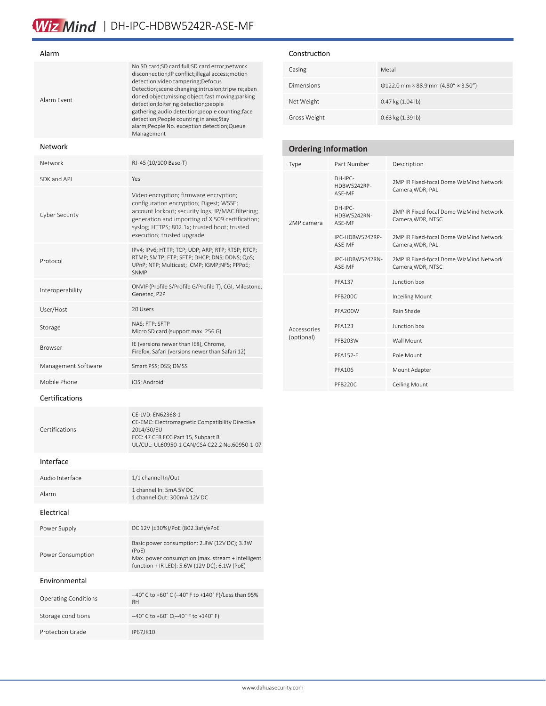## Wiz Mind | DH-IPC-HDBW5242R-ASE-MF

| Alarm               |                                                                                                                                                                                                                                                                                                                                                                                                                                                            |
|---------------------|------------------------------------------------------------------------------------------------------------------------------------------------------------------------------------------------------------------------------------------------------------------------------------------------------------------------------------------------------------------------------------------------------------------------------------------------------------|
| Alarm Fvent         | No SD card;SD card full;SD card error;network<br>disconnection; IP conflict; illegal access; motion<br>detection; video tampering; Defocus<br>Detection;scene changing;intrusion;tripwire;aban<br>doned object; missing object; fast moving; parking<br>detection; loitering detection; people<br>gathering;audio detection;people counting;face<br>detection; People counting in area; Stay<br>alarm; People No. exception detection; Queue<br>Management |
| <b>Network</b>      |                                                                                                                                                                                                                                                                                                                                                                                                                                                            |
| Network             | RJ-45 (10/100 Base-T)                                                                                                                                                                                                                                                                                                                                                                                                                                      |
| SDK and API         | Yes                                                                                                                                                                                                                                                                                                                                                                                                                                                        |
| Cyber Security      | Video encryption; firmware encryption;<br>configuration encryption; Digest; WSSE;<br>account lockout; security logs; IP/MAC filtering;<br>generation and importing of X.509 certification;<br>syslog; HTTPS; 802.1x; trusted boot; trusted<br>execution; trusted upgrade                                                                                                                                                                                   |
| Protocol            | IPv4; IPv6; HTTP; TCP; UDP; ARP; RTP; RTSP; RTCP;<br>RTMP; SMTP; FTP; SFTP; DHCP; DNS; DDNS; QoS;<br>UPnP; NTP; Multicast; ICMP; IGMP;NFS; PPPoE;<br>SNMP                                                                                                                                                                                                                                                                                                  |
| Interoperability    | ONVIF (Profile S/Profile G/Profile T), CGI, Milestone,<br>Genetec, P2P                                                                                                                                                                                                                                                                                                                                                                                     |
| User/Host           | 20 Users                                                                                                                                                                                                                                                                                                                                                                                                                                                   |
| Storage             | NAS; FTP; SFTP<br>Micro SD card (support max. 256 G)                                                                                                                                                                                                                                                                                                                                                                                                       |
| Browser             | IE (versions newer than IE8), Chrome,<br>Firefox, Safari (versions newer than Safari 12)                                                                                                                                                                                                                                                                                                                                                                   |
| Management Software | Smart PSS; DSS; DMSS                                                                                                                                                                                                                                                                                                                                                                                                                                       |
| Mobile Phone        | iOS; Android                                                                                                                                                                                                                                                                                                                                                                                                                                               |
| Certifications      |                                                                                                                                                                                                                                                                                                                                                                                                                                                            |
| Certifications      | CE-LVD: EN62368-1<br>CE-EMC: Electromagnetic Compatibility Directive<br>2014/30/EU<br>FCC: 47 CFR FCC Part 15, Subpart B<br>UL/CUL: UL60950-1 CAN/CSA C22.2 No.60950-1-07                                                                                                                                                                                                                                                                                  |
| Interface           |                                                                                                                                                                                                                                                                                                                                                                                                                                                            |
| Audio Interface     | 1/1 channel In/Out                                                                                                                                                                                                                                                                                                                                                                                                                                         |
| Alarm               | 1 channel In: 5mA 5V DC<br>1 channel Out: 300mA 12V DC                                                                                                                                                                                                                                                                                                                                                                                                     |
| Electrical          |                                                                                                                                                                                                                                                                                                                                                                                                                                                            |
| Power Supply        | DC 12V (±30%)/PoE (802.3af)/ePoE                                                                                                                                                                                                                                                                                                                                                                                                                           |
| Power Consumption   | Basic power consumption: 2.8W (12V DC); 3.3W<br>(PoE)<br>Max. power consumption (max. stream + intelligent<br>function + IR LED): 5.6W (12V DC); 6.1W (PoE)                                                                                                                                                                                                                                                                                                |

#### Environmental

| <b>Operating Conditions</b> | $-40^{\circ}$ C to +60° C (-40° F to +140° F)/Less than 95%<br><b>RH</b> |
|-----------------------------|--------------------------------------------------------------------------|
| Storage conditions          | $-40^{\circ}$ C to +60° C(-40° F to +140° F)                             |
| Protection Grade            | IP67, IK10                                                               |

#### Construction

| Casing       | Metal                                     |
|--------------|-------------------------------------------|
| Dimensions   | $\Phi$ 122.0 mm × 88.9 mm (4.80" × 3.50") |
| Net Weight   | $0.47$ kg $(1.04$ lb)                     |
| Gross Weight | $0.63$ kg $(1.39$ lb)                     |

### **Ordering Information**

| Type                      | Part Number                             | Description                                                  |
|---------------------------|-----------------------------------------|--------------------------------------------------------------|
| 2MP camera                | $DH-IPC-$<br>HDBW5242RP-<br>ASF-MF      | 2MP IR Fixed-focal Dome WizMind Network<br>Camera, WDR, PAL  |
|                           | DH-IPC-<br><b>HDBW5242RN-</b><br>ASF-MF | 2MP IR Fixed-focal Dome WizMind Network<br>Camera, WDR, NTSC |
|                           | IPC-HDBW5242RP-<br>ASF-MF               | 2MP IR Fixed-focal Dome WizMind Network<br>Camera, WDR, PAL  |
|                           | IPC-HDBW5242RN-<br>ASF-MF               | 2MP IR Fixed-focal Dome WizMind Network<br>Camera, WDR, NTSC |
| Accessories<br>(optional) | <b>PFA137</b>                           | Junction box                                                 |
|                           | PFB200C                                 | <b>Inceiling Mount</b>                                       |
|                           | PFA200W                                 | Rain Shade                                                   |
|                           | <b>PFA123</b>                           | Junction box                                                 |
|                           | <b>PFB203W</b>                          | Wall Mount                                                   |
|                           | <b>PFA152-F</b>                         | Pole Mount                                                   |
|                           | PFA106                                  | Mount Adapter                                                |
|                           | PFB220C                                 | <b>Ceiling Mount</b>                                         |